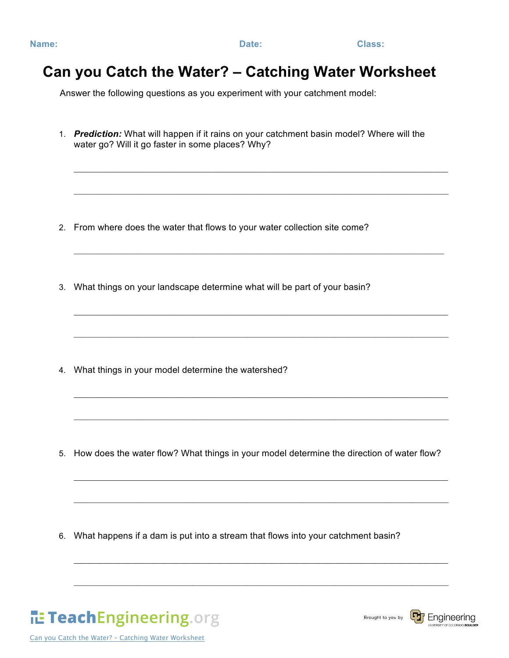## **Name: Date: Class:**

## **Can you Catch the Water? – Catching Water Worksheet**

Answer the following questions as you experiment with your catchment model:

1. *Prediction:* What will happen if it rains on your catchment basin model? Where will the water go? Will it go faster in some places? Why?

 $\mathcal{L}_\mathcal{L} = \{ \mathcal{L}_\mathcal{L} = \{ \mathcal{L}_\mathcal{L} = \{ \mathcal{L}_\mathcal{L} = \{ \mathcal{L}_\mathcal{L} = \{ \mathcal{L}_\mathcal{L} = \{ \mathcal{L}_\mathcal{L} = \{ \mathcal{L}_\mathcal{L} = \{ \mathcal{L}_\mathcal{L} = \{ \mathcal{L}_\mathcal{L} = \{ \mathcal{L}_\mathcal{L} = \{ \mathcal{L}_\mathcal{L} = \{ \mathcal{L}_\mathcal{L} = \{ \mathcal{L}_\mathcal{L} = \{ \mathcal{L}_\mathcal{$ 

 $\mathcal{L}_\text{max} = \mathcal{L}_\text{max} = \mathcal{L}_\text{max} = \mathcal{L}_\text{max} = \mathcal{L}_\text{max} = \mathcal{L}_\text{max} = \mathcal{L}_\text{max} = \mathcal{L}_\text{max} = \mathcal{L}_\text{max} = \mathcal{L}_\text{max} = \mathcal{L}_\text{max} = \mathcal{L}_\text{max} = \mathcal{L}_\text{max} = \mathcal{L}_\text{max} = \mathcal{L}_\text{max} = \mathcal{L}_\text{max} = \mathcal{L}_\text{max} = \mathcal{L}_\text{max} = \mathcal{$ 

 $\mathcal{L}_\text{max} = \mathcal{L}_\text{max} = \mathcal{L}_\text{max} = \mathcal{L}_\text{max} = \mathcal{L}_\text{max} = \mathcal{L}_\text{max} = \mathcal{L}_\text{max} = \mathcal{L}_\text{max} = \mathcal{L}_\text{max} = \mathcal{L}_\text{max} = \mathcal{L}_\text{max} = \mathcal{L}_\text{max} = \mathcal{L}_\text{max} = \mathcal{L}_\text{max} = \mathcal{L}_\text{max} = \mathcal{L}_\text{max} = \mathcal{L}_\text{max} = \mathcal{L}_\text{max} = \mathcal{$ 

 $\mathcal{L}_\mathcal{L} = \{ \mathcal{L}_\mathcal{L} = \{ \mathcal{L}_\mathcal{L} = \{ \mathcal{L}_\mathcal{L} = \{ \mathcal{L}_\mathcal{L} = \{ \mathcal{L}_\mathcal{L} = \{ \mathcal{L}_\mathcal{L} = \{ \mathcal{L}_\mathcal{L} = \{ \mathcal{L}_\mathcal{L} = \{ \mathcal{L}_\mathcal{L} = \{ \mathcal{L}_\mathcal{L} = \{ \mathcal{L}_\mathcal{L} = \{ \mathcal{L}_\mathcal{L} = \{ \mathcal{L}_\mathcal{L} = \{ \mathcal{L}_\mathcal{$ 

 $\mathcal{L}_\mathcal{L} = \{ \mathcal{L}_\mathcal{L} = \{ \mathcal{L}_\mathcal{L} = \{ \mathcal{L}_\mathcal{L} = \{ \mathcal{L}_\mathcal{L} = \{ \mathcal{L}_\mathcal{L} = \{ \mathcal{L}_\mathcal{L} = \{ \mathcal{L}_\mathcal{L} = \{ \mathcal{L}_\mathcal{L} = \{ \mathcal{L}_\mathcal{L} = \{ \mathcal{L}_\mathcal{L} = \{ \mathcal{L}_\mathcal{L} = \{ \mathcal{L}_\mathcal{L} = \{ \mathcal{L}_\mathcal{L} = \{ \mathcal{L}_\mathcal{$ 

 $\mathcal{L}_\text{max} = \mathcal{L}_\text{max} = \mathcal{L}_\text{max} = \mathcal{L}_\text{max} = \mathcal{L}_\text{max} = \mathcal{L}_\text{max} = \mathcal{L}_\text{max} = \mathcal{L}_\text{max} = \mathcal{L}_\text{max} = \mathcal{L}_\text{max} = \mathcal{L}_\text{max} = \mathcal{L}_\text{max} = \mathcal{L}_\text{max} = \mathcal{L}_\text{max} = \mathcal{L}_\text{max} = \mathcal{L}_\text{max} = \mathcal{L}_\text{max} = \mathcal{L}_\text{max} = \mathcal{$ 

 $\mathcal{L}_\mathcal{L} = \{ \mathcal{L}_\mathcal{L} = \{ \mathcal{L}_\mathcal{L} = \{ \mathcal{L}_\mathcal{L} = \{ \mathcal{L}_\mathcal{L} = \{ \mathcal{L}_\mathcal{L} = \{ \mathcal{L}_\mathcal{L} = \{ \mathcal{L}_\mathcal{L} = \{ \mathcal{L}_\mathcal{L} = \{ \mathcal{L}_\mathcal{L} = \{ \mathcal{L}_\mathcal{L} = \{ \mathcal{L}_\mathcal{L} = \{ \mathcal{L}_\mathcal{L} = \{ \mathcal{L}_\mathcal{L} = \{ \mathcal{L}_\mathcal{$ 

 $\mathcal{L}_\text{max} = \mathcal{L}_\text{max} = \mathcal{L}_\text{max} = \mathcal{L}_\text{max} = \mathcal{L}_\text{max} = \mathcal{L}_\text{max} = \mathcal{L}_\text{max} = \mathcal{L}_\text{max} = \mathcal{L}_\text{max} = \mathcal{L}_\text{max} = \mathcal{L}_\text{max} = \mathcal{L}_\text{max} = \mathcal{L}_\text{max} = \mathcal{L}_\text{max} = \mathcal{L}_\text{max} = \mathcal{L}_\text{max} = \mathcal{L}_\text{max} = \mathcal{L}_\text{max} = \mathcal{$ 

 $\mathcal{L}_\mathcal{L} = \{ \mathcal{L}_\mathcal{L} = \{ \mathcal{L}_\mathcal{L} = \{ \mathcal{L}_\mathcal{L} = \{ \mathcal{L}_\mathcal{L} = \{ \mathcal{L}_\mathcal{L} = \{ \mathcal{L}_\mathcal{L} = \{ \mathcal{L}_\mathcal{L} = \{ \mathcal{L}_\mathcal{L} = \{ \mathcal{L}_\mathcal{L} = \{ \mathcal{L}_\mathcal{L} = \{ \mathcal{L}_\mathcal{L} = \{ \mathcal{L}_\mathcal{L} = \{ \mathcal{L}_\mathcal{L} = \{ \mathcal{L}_\mathcal{$ 

- 2. From where does the water that flows to your water collection site come?
- 3. What things on your landscape determine what will be part of your basin?

4. What things in your model determine the watershed?

5. How does the water flow? What things in your model determine the direction of water flow?

6. What happens if a dam is put into a stream that flows into your catchment basin?